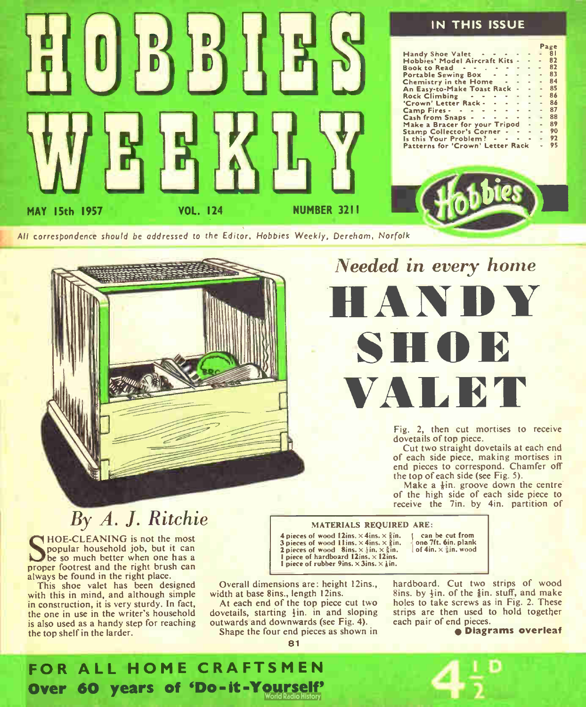

IN THIS ISSUE Handy Shoe Valet Page<br>- 81 Hobbies' Model Aircraft Kits - - - 82<br>Book to Read

Book to Read - - . . . . . . . 82<br>Book to Read - . . . . . . . . . 83 Portable Sewing Box  $\cdot \cdot \cdot \cdot \cdot \cdot 83$ <br>Chemistry in the Home  $\cdot \cdot \cdot \cdot \cdot 84$ Chemistry in the Home  $- - - - 84$ <br>An Easy-to-Make Toast Back An Easy-to-Make Toast Rack - - - 85<br>Rock Climbing - - - - - - - - 86 Rock Climbing - - - - - - - 86<br>'Crown' Letter Rack - - - - - - 86 'Crown' Letter Rack -87<br>88 Cash from Snaps - - - - - - - 88<br>Make a Bracer for your Tripod Make a Bracer for your Tripod - 89 Stamp Collector's Corner - - - - 90<br>Is this Your Problem? - - - - - 92 Is this Your Problem ?  $-$  92<br>Patterns for 'Crown' Letter Back  $-$  95 Patterns for 'Crown' Letter Rack Camp Fires - - - -- -



All correspondence should be addressed to the Editor, Mobbies Weekly, Dereham, Norfolk



## Needed in every home HANDY

**SHOP** 

VALBT

Fig. 2, then cut mortises to receive dovetails of top piece.

Cut two straight dovetails at each end of each side piece, making mortises in end pieces to correspond. Chamfer off the top of each side (see Fig. 5).

Make a  $\frac{1}{2}$ in. groove down the centre of the high side of each side piece to receive the 7in. by 4in. partition of

#### MATERIALS REQUIRED ARE:

4 pieces of wood 12ins.  $\times$  4ins.  $\times$   $\frac{5}{3}$ in. 3 pieces of wood 11ins.  $\times$  4ins.  $\times$   $\times$  in. 2 pieces of wood  $8ins. \times \{in, \times\}$ in. 1 piece of hardboard  $12$ ins.  $\times 12$ ins. piece of rubber 9ins.  $\times$  3ins.  $\times$   $\times$  in.

1 can be cut from one 7ft. 6in. plank of  $4in. \times \frac{5}{3}in.$  wood

Overall dimensions are: height 12ins., width at base 8ins., length 12ins.

At each end of the top piece cut two dovetails, starting  $\frac{1}{2}$ in. in and sloping outwards and downwards (see Fig. 4). Shape the four end pieces as shown in hardboard. Cut two strips of wood 8ins. by  $\frac{1}{2}$ in. of the  $\frac{5}{8}$ in. stuff, and make holes to take screws as in Fig. 2. These strips are then used to hold together each pair of end pieces.

e Diagrams overleaf

### By A. J. Ritchie

**SECREMING** is not the most<br>popular household job, but it can<br>be so much better when one has a HOE-CLEANING is not the most popular household job, but it can proper footrest and the right brush can always be found in the right place.

This shoe valet has been designed with this in mind, and although simple in construction, it is very sturdy. In fact, the one in use in the writer's household is also used as a handy step for reaching the top shelf in the larder.



81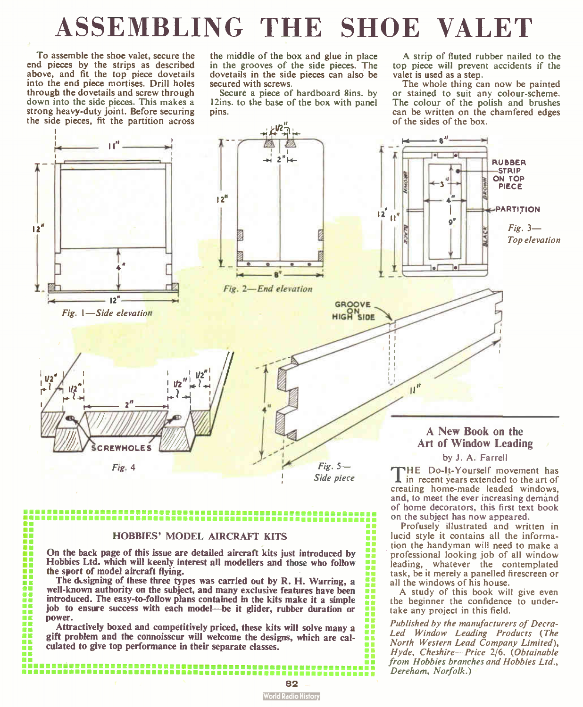## ASSEMBLING THE SHOE VALET

To assemble the shoe valet, secure the end pieces by the strips as described above, and fit the top piece dovetails into the end piece mortises. Drill holes through the dovetails and screw through down into the side pieces. This makes a strong heavy-duty joint. Before securing the side pieces, fit the partition across

**DO** H m ū ü m т Ē. œ m ōē m m ۵C m 77 m

the middle of the box and glue in place in the grooves of the side pieces. The dovetails in the side pieces can also be secured with screws.

Secure a piece of hardboard 8ins. by 12ins. to the base of the box with panel pins.

A strip of fluted rubber nailed to the top piece will prevent accidents if the valet is used as a step.

The whole thing can now be painted or stained to suit any colour-scheme. The colour of the polish and brushes can be written on the chamfered edges of the sides of the box.



#### HOBBIES' MODEL AIRCRAFT KITS

On the back page of this issue are detailed aircraft kits just introduced by Hobbies Ltd. which will keenly interest all modellers and those who follow the sport of model aircraft flying.

The designing of these three types was carried out by R. H. Warring, a well-known authority on the subject, and many exclusive features have been introduced. The easy-to-follow plans contained in the kits make it a simple job to ensure success with each model—be it glider, rubber duration or power.

Attractively boxed and competitively priced, these kits will solve many a gift problem and the connoisseur will welcome the designs, which are calculated to give top performance in their separate classes.

tion the handyman will need to make a professional looking job of all window leading, whatever the contemplated task, be it merely a panelled firescreen or all the windows of his house. A study of this book will give even the beginner the confidence to undertake any project in this field.

and, to meet the ever increasing demand of home decorators, this first text book on the subject has now appeared.<br>Profusely illustrated and written in lucid style it contains all the informa-

Published by the manufacturers of Decra-Led Window Leading Products (The R. North Western Lead Company Limited), Hyde, Cheshire—Price 2/6. (Obtainable from Hobbies branches and Hobbies Ltd., Dereham, Norfolk.)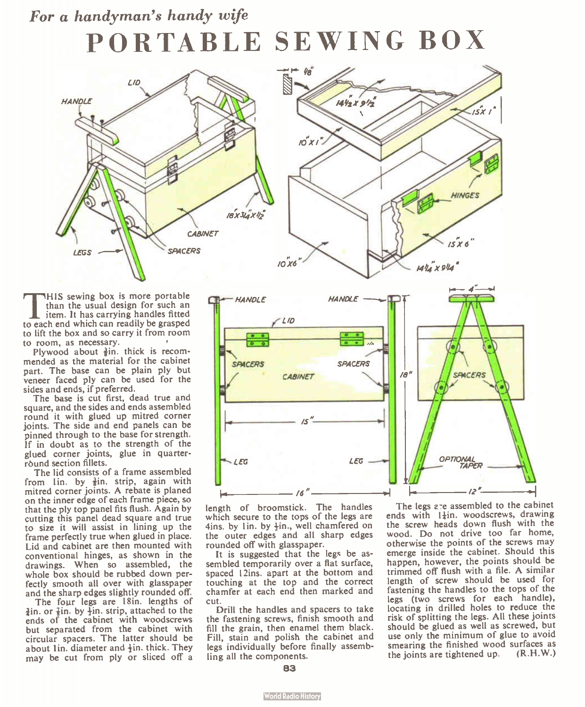### For a handyman's handy wife PORTABLE SEWING BOX





THIS sewing box is more portable<br>than the usual design for such an<br>item. It has carrying handles fitted<br>to each end which can readily be grasped HIS sewing box is more portable than the usual design for such an item. It has carrying handles fitted to lift the box and so carry it from room to room, as necessary.

Plywood about  $\frac{3}{2}$ in, thick is recommended as the material for the cabinet part. The base can be plain ply but veneer faced ply can be used for the sides and ends, if preferred.

The base is cut first, dead true and square, and the sides and ends assembled round it with glued up mitred corner joints. The side and end panels can be pinned through to the base for strength. If in doubt as to the strength of the glued corner joints, glue in quarterround section fillets.

The lid consists of a frame assembled from lin. by  $\frac{3}{8}$ in, strip, again with mitred corner joints. A rebate is planed on the inner edge of each frame piece, so that the ply top panel fits flush. Again by cutting this panel dead square and true to size it will assist in lining up the frame perfectly true when glued in place. Lid and cabinet are then mounted with conventional hinges, as shown in the drawings. When so assembled, the whole box should be rubbed down perfectly smooth all over with glasspaper and the sharp edges slightly rounded off.

The four legs are 18in. lengths of  $\frac{3}{2}$ in. or  $\frac{7}{8}$ in. by  $\frac{1}{2}$ in. strip, attached to the ends of the cabinet with woodscrews but separated from the cabinet with circular spacers. The latter should be about 1in. diameter and  $\frac{1}{2}$ in. thick. They may be cut from ply or sliced off a



length of broomstick. The handles which secure to the tops of the legs are 4ins. by 1in. by  $\frac{1}{2}$ in., well chamfered on the outer edges and all sharp edges rounded off with glasspaper.

It is suggested that the legs be assembled temporarily over a flat surface, spaced 12ins. apart at the bottom and touching at the top and the correct chamfer at each end then marked and cut.

Drill the handles and spacers to take the fastening screws, finish smooth and fill the grain, then enamel them black. Fill, stain and polish the cabinet and legs individually before finally assembling all the components.

The legs are assembled to the cabinet ends with  $l\ddagger$ in. woodscrews, drawing the screw heads down flush with the wood. Do not drive too far home, otherwise the points of the screws may emerge inside the cabinet. Should this happen, however, the points should be trimmed off flush with a file. A similar length of screw should be used for fastening the handles to the tops of the legs (two screws for each handle), locating in drilled holes to reduce the risk of splitting the legs. All these joints should be glued as well as screwed, but use only the minimum of glue to avoid smearing the finished wood surfaces as<br>the joints are tightened up.  $(R.H.W.)$ the joints are tightened up.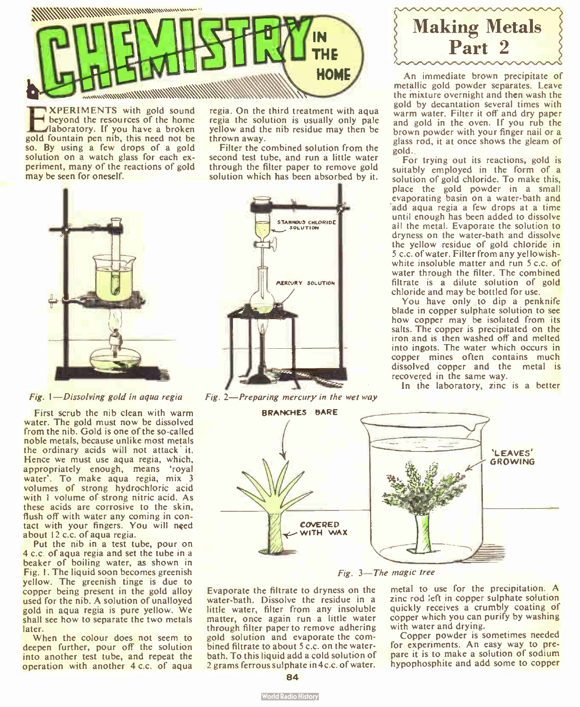

EXPERIMENTS with gold sound<br>haboratory. If you have a broken<br>gold fountain pen nib, this need not be XPERIMENTS with gold sound beyond the resources of the home laboratory. If you have a broken so. By using a few drops of a gold solution on a watch glass for each experiment, many of the reactions of gold may be seen for oneself.



Fig. I— Dissolving gold in aqua regia

First scrub the nib clean with warm water. The gold must now be dissolved from the nib. Gold is one of the so-called noble metals, because unlike most metals the ordinary acids will not attack' it. Hence we must use aqua regia, which, appropriately enough, means 'royal water'. To make aqua regia, mix 3 volumes of strong hydrochloric acid with 1 volume of strong nitric acid. As these acids are corrosive to the skin, flush off with water any coming in contact with your fingers. You will need about 12 c.c. of aqua regia.

Put the nib in a test tube, pour on 4 c.c. of aqua regia and set the tube in a beaker of boiling water, as shown in Fig. I. The liquid soon becomes greenish yellow. The greenish tinge is due to copper being present in the gold alloy used for the nib. A solution of unalloyed gold in aqua regia is pure yellow. We shall see how to separate the two metals later.

When the colour does not seem to deepen further, pour off the solution into another test tube, and repeat the operation with another 4 c.c. of aqua

regia. On the third treatment with aqua regia the solution is usually only pale yellow and the nib residue may then be thrown away.

Filter the combined solution from the second test tube, and run a little water through the filter paper to remove gold solution which has been absorbed by it.



Fig. 2—Preparing mercury in the wet way

Making Metals Part 2

An immediate brown precipitate of metallic gold powder separates. Leave the mixture overnight and then wash the gold by decantation several times with warm water. Filter it off and dry paper and gold in the oven. If you rub the brown powder with your finger nail or a glass rod, it at once shows the gleam of gold..

For trying out its reactions, gold is suitably employed in the form of a solution of gold chloride. To make this, place the gold powder in a small evaporating basin on a water-bath and 'add aqua regia a few drops at a time until enough has been added to dissolve all the metal. Evaporate the solution to dryness on the water-bath and dissolve the yellow residue of gold chloride in 5 c.c. of water. Filter from any yel lowishwhite insoluble matter and run 5 c.c. of water through the filter. The combined filtrate is a dilute solution of gold chloride and may be bottled for use.

You have only to dip a penknife blade in copper sulphate solution to see how copper may be isolated from its salts. The copper is precipitated on the iron and is then washed off and melted into ingots. The water which occurs in copper mines often contains much dissolved copper and the metal is recovered in the same way.

In the laboratory, zinc is a better



Fig. 3— The magic tree

Evaporate the filtrate to dryness on the water-bath. Dissolve the residue in a little water, filter from any insoluble matter, once again run a little water through filter paper to remove adhering gold solution and evaporate the combined filtrate to about 5 c.c. on the waterbath. To this liquid add a cold solution of 2 grams ferrous sulphate in4c.c. of water. metal to use for the precipitation. A zinc rod left in copper sulphate solution quickly receives a crumbly coating of copper which you can purify by washing with water and drying.

Copper powder is sometimes needed for experiments. An easy way to prepare it is to make a solution of sodium hypophosphite and add some to copper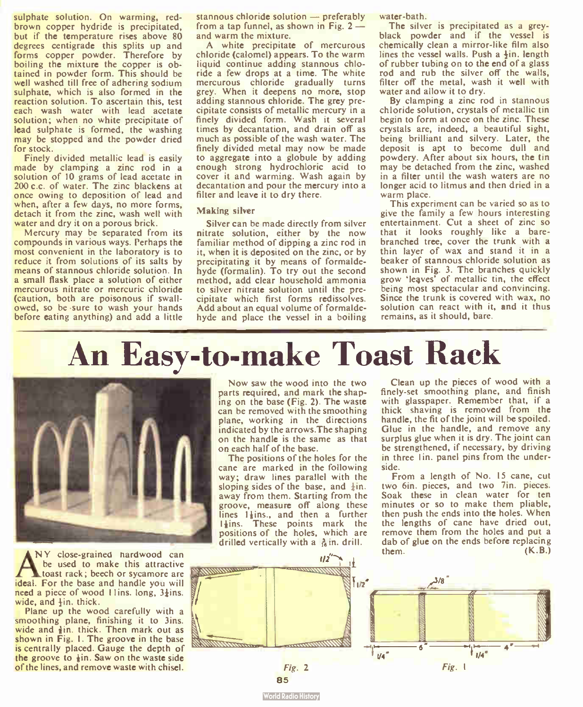sulphate solution. On warming, redbrown copper hydride is precipitated, but if the temperature rises above 80 degrees centigrade this splits up and forms copper powder. Therefore by boiling the mixture the copper is obtained in powder form. This should be well washed till free of adhering sodium sulphate, which is also formed in the reaction solution. To ascertain this, test each wash water with lead acetate solution; when no white precipitate of lead sulphate is formed, the washing may be stopped and the powder dried for stock.

Finely divided metallic lead is easily made by clamping a zinc rod in a solution of 10 grams of lead acetate in 200 c.c. of water. The zinc blackens at once owing to deposition of lead and when, after a few days, no more forms, detach it from the zinc, wash well with water and dry it on a porous brick.

Mercury may be separated from its compounds in various ways. Perhaps the most convenient in the laboratory is to reduce it from solutions of its salts by means of stannous chloride solution. In a small flask place a solution of either mercurous nitrate or mercuric chloride (caution, both are poisonous if swallowed, so be sure to wash your hands before eating anything) and add a little

stannous chloride solution — preferably from a tap funnel, as shown in Fig. 2 and warm the mixture.

A white precipitate of mercurous chloride (calomel) appears. To the warm liquid continue adding stannous chloride a few drops at a time. The white mercurous chloride gradually turns grey. When it deepens no more, stop adding stannous chloride. The grey precipitate consists of metallic mercury in a finely divided form. Wash it several times by decantation, and drain off as much as possible of the wash water. The finely divided metal may now be made to aggregate into a globule by adding enough strong hydrochloric acid to cover it and warming. Wash again by decantation and pour the mercury into a filter and leave it to dry there.

#### Making silver

Silver can be made directly from silver nitrate solution, either by the now familiar method of dipping a zinc rod in it, when it is deposited on the zinc, or by precipitating it by means of formaldehyde (formalin). To try out the second method, add clear household ammonia to silver nitrate solution until the precipitate which first forms redissolves. Add about an equal volume of formaldehyde and place the vessel in a boiling water-bath.

The silver is precipitated as a greyblack powder and if the vessel is chemically clean a mirror-like film also lines the vessel walls. Push a  $\frac{1}{2}$ in, length of rubber tubing on to the end of a glass rod and rub the silver off the walls, filter off the metal, wash it well with water and allow it to dry.

By clamping a zinc rod in stannous chloride solution, crystals of metallic tin begin to form at once on the zinc. These crystals are, indeed, a beautiful sight, being brilliant and silvery. Later, the deposit is apt to become dull and powdery. After about six hours, the tin may be detached from the zinc, washed in a filter until the wash waters are no longer acid to litmus and then dried in a warm place.

This experiment can be varied so as to give the family a few hours interesting entertainment. Cut a sheet of zinc so that it looks roughly like a barebranched tree, cover the trunk with a thin layer of wax and stand it in a beaker of stannous chloride solution as shown in Fig. 3. The branches quickly grow 'leaves' of metallic tin, the effect being most spectacular and convincing. Since the trunk is covered with wax, no solution can react with it, and it thus remains, as it should, bare.

## An Easy-to-make Toast Rack



NY close-grained hardwood can be used to make this attractive toast rack; beech or sycamore are ideal. For the base and handle you will need a piece of wood I lins. long,  $3\frac{1}{2}$ ins. wide, and  $\frac{1}{2}$ in. thick.

Plane up the wood carefully with a smoothing plane, finishing it to 3ins. wide and  $\frac{1}{2}$ in. thick. Then mark out as shown in Fig. I. The groove in the base is centrally placed. Gauge the depth of the groove to  $\frac{1}{3}$ in. Saw on the waste side of the lines, and remove waste with chisel.

Now saw the wood into the two parts required, and mark the shaping on the base (Fig. 2). The waste can be removed with the smoothing plane, working in the directions indicated by the arrows.The shaping on the handle is the same as that on each half of the base.

The positions of the holes for the cane are marked in the following way; draw lines parallel with the sloping sides of the base, and  $\frac{1}{2}$ in. away from them. Starting from the groove, measure off along these lines  $1\frac{1}{2}$ ins., and then a further  $1\frac{1}{2}$ ins. These points mark the positions of the holes, which are drilled vertically with a  $\frac{3}{16}$  in. drill.

Clean up the pieces of wood with a finely-set smoothing plane, and finish with glasspaper. Remember that, if a thick shaving is removed from the handle, the fit of the joint will be spoiled. Glue in the handle, and remove any surplus glue when it is dry. The joint can be strengthened, if necessary, by driving in three Iin. panel pins from the underside.

From a length of No. <sup>15</sup> cane, cut two 6in. pieces, and two 7in. pieces. Soak these in clean water for ten minutes or so to make them pliable, then push the ends into the holes. When the lengths of cane have dried out, remove them from the holes and put a dab of glue on the ends before replacing<br>them. (K.B.)

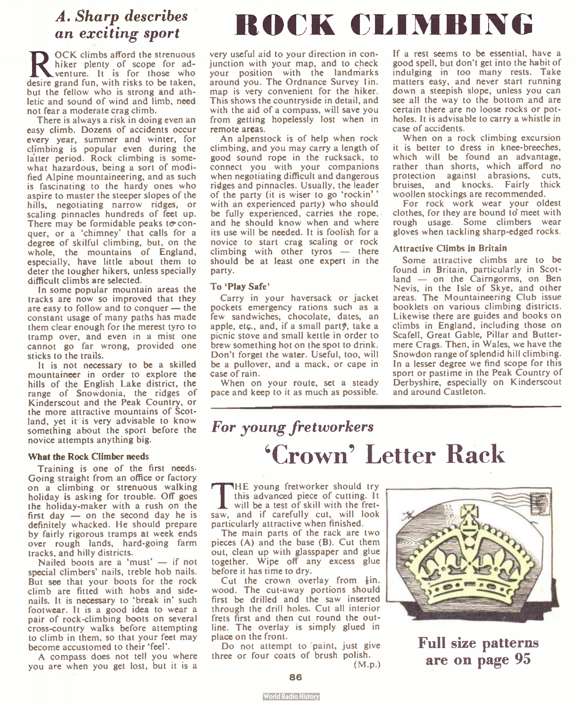## A. Sharp describes

**REFIGURE CONSTRANDUM**<br>hiker plenty of scope for ad-<br>desire grand fun, with risks to be taken, OCK climbs afford the strenuous hiker plenty of scope for adventure. It is for those who but the fellow who is strong and athletic and sound of wind and limb, need not fear a moderate crag climb.

There is always a risk in doing even an easy climb. Dozens of accidents occur every year, summer and winter, for climbing is popular even during the latter period. Rock climbing is somewhat hazardous, being a sort of modified Alpine mountaineering, and as such is fascinating to the hardy ones who aspire to master the steeper slopes of the hills, negotiating narrow ridges, or scaling pinnacles hundreds of feet up. There may be formidable peaks to conquer, or a 'chimney' that calls for a degree of skilful climbing, but, on the whole, the mountains of England, especially, have little about them to deter the tougher hikers, unless specially difficult climbs are selected.

In some popular mountain areas the tracks are now so improved that they are easy to follow and to conquer — the constant usage of many paths has made them clear enough for the merest tyro to tramp over, and even in a mist one cannot go far wrong, provided one sticks to the trails.

It is not necessary to be a skilled mountaineer in order to explore the hills of the English Lake district, the range of Snowdonia, the ridges of Kinderscout and the Peak Country, or the more attractive mountains of Scotland, yet it is very advisable to know something about the sport before the novice attempts anything big.

#### What the Rock Climber needs

Training is one of the first needs. Going straight from an office or factory on a climbing or strenuous walking holiday is asking for trouble. Off goes the holiday-maker with a rush on the first day — on the second day he is definitely whacked. He should prepare by fairly rigorous tramps at week ends over rough lands, hard-going farm tracks, and hilly districts.

Nailed boots are a 'must'  $-$  if not special climbers' nails, treble hob nails. But see that your boots for the rock climb are fitted with hobs and sidenails. It is necessary to 'break in' such footwear. It is a good idea to wear a pair of rock-climbing boots on several cross-country walks before attempting to climb in them, so that your feet may become accustomed to their 'feel'.

A compass does not tell you where you are when you get lost, but it is a

## A. Sharp describes ROCK CLIMBING

very useful aid to your direction in conjunction with your map, and to check your position with the landmarks around you. The Ordnance Survey Iin. map is very convenient for the hiker. This shows the countryside in detail, and with the aid of a compass, will save you from getting hopelessly lost when in remote areas.

An alpenstock is of help when rock climbing, and you may carry a length of good sound rope in the rucksack, to connect you with your companions when negotiating difficult and dangerous ridges and pinnacles. Usually, the leader of the party (it is wiser to go 'rockin' with an experienced party) who should be fully experienced, carries the rope, and he should know when and where its use will be needed. It is foolish for a novice to start crag scaling or rock climbing with other tyros — there should be at least one expert in the party.

#### To 'Play Safe'

Carry in your haversack or jacket pockets emergency rations such as a few sandwiches, chocolate, dates, an apple, etç., and, if a small party, take a picnic stove and small kettle in order to brew something hot on the spot to drink. Don't forget the water. Useful, too, will be a pullover, and a mack, or cape in case of rain.

When on your route, set a steady pace and keep to it as much as possible. If a rest seems to be essential, have a good spell, but don't get into the habit of indulging in too many rests. Take matters easy, and never start running down a steepish slope, unless you can see all the way to the bottom and are certain there are no loose rocks or potholes. It is advisable to carry a whistle in case of accidents.

When on a rock climbing excursion it is better to dress in knee-breeches, which will be found an advantage, rather than shorts, which afford no protection against abrasions, cuts,<br>bruises, and knocks. Fairly thick bruises, and knocks. Fairly woollen stockings are recommended.

For rock work wear your oldest clothes, for they are bound to meet with rough usage. Some climbers wear gloves when tackling sharp-edged rocks.

#### Attractive Climbs in Britain

Some attractive climbs are to be found in Britain, particularly in Scotland — on the Cairngorms, on Ben Nevis, in the Isle of Skye, and other areas. The Mountaineering Club issue booklets on various climbing districts. Likewise there are guides and books on climbs in England, including those on Scafell, Great Gable, Pillar and Buttermere Crags. Then, in Wales, we have the Snowdon range of splendid hill climbing. In a lesser degree we find scope for this sport or pastime in the Peak Country of Derbyshire, especially on Kinderscout and around Castleton.

### For young fretworkers 'Crown' Letter Rack

THE young fretworker should try<br>this advanced piece of cutting. It<br>will be a test of skill with the fret-HE young fretworker should try this advanced piece of cutting. It saw, and if carefully cut, will look particularly attractive when finished.

The main parts of the rack are two pieces (A) and the base (B). Cut them out, clean up with glasspaper and glue together. Wipe off any excess glue before it has time to dry.

Cut the crown overlay from  $\frac{1}{8}$ in. wood. The cut-away portions should first be drilled and the saw inserted through the drill holes. Cut all interior frets first and then cut round the outline. The overlay is simply glued in place on the front.

Do not attempt to paint, just give three or four coats of brush polish. (M.P.)



Full size patterns are on page 95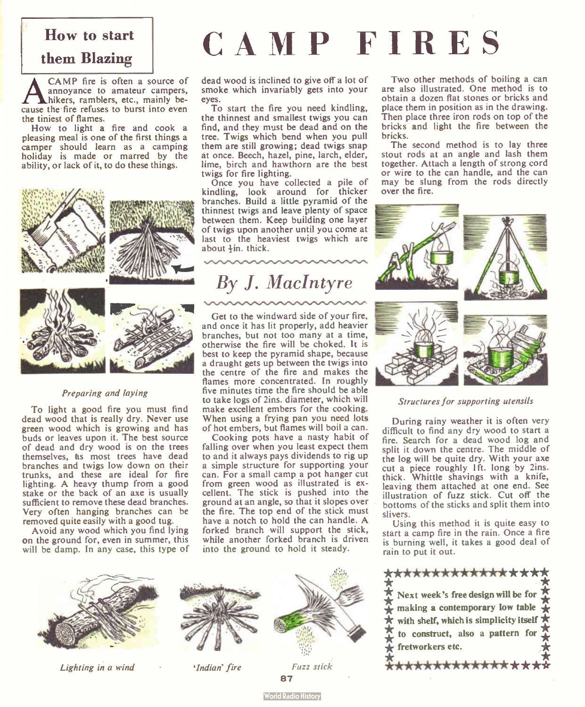#### How to start

#### them Blazing

**ANDE THE REFAIRE THE SURVE TO A SURVEY A POSTANDING THE SURVEY COMPOSED A** hikers, ramblers, etc., mainly because the fire refuses to burst into even CAMP fire is often a source of annoyance to amateur campers, hikers, ramblers, etc., mainly bethe tiniest of flames.

How to light a fire and cook a pleasing meal is one of the first things a camper should learn as a camping holiday is made or marred by the ability, or lack of it, to do these things.



#### Preparing and laying

To light a good fire you must find dead wood that is really dry. Never use green wood which is growing and has buds or leaves upon it. The best source of dead and dry wood is on the trees themselves, as most trees have dead branches and twigs low down on their trunks, and these are ideal for fire lighting. A heavy thump from a good stake or the back of an axe is usually sufficient to remove these dead branches. Very often hanging branches can be removed quite easily with a good tug.

Avoid any wood which you find lying on the ground for, even in summer, this will be damp. In any case, this type of

# CAMP FIRES

bricks.

over the fire.

dead wood is inclined to give off a lot of smoke which invariably gets into your eyes.

To start the fire you need kindling, the thinnest and smallest twigs you can find, and they must be dead and on the tree. Twigs which bend when you pull them are still growing; dead twigs snap at once. Beech, hazel, pine, larch, elder, lime, birch and hawthorn are the best twigs for fire lighting.

Once you have collected a pile of kindling, look around for thicker branches. Build a little pyramid of the thinnest twigs and leave plenty of space between them. Keep building one layer of twigs upon another until you come at last to the heaviest twigs which are about  $+$ in. thick.

### By J. MacIntyre

Get to the windward side of your fire, and once it has lit properly, add heavier branches, but not too many at a time, otherwise the fire will be choked. It is best to keep the pyramid shape, because a draught gets up between the twigs into the centre of the fire and makes the flames more concentrated. In roughly five minutes time the fire should be able to take logs of 2ins. diameter, which will make excellent embers for the cooking. When using a frying pan you need lots of hot embers, but flames will boil a can.

Cooking pots have a nasty habit of falling over when you least expect them to and it always pays dividends to rig up a simple structure for supporting your can. For a small camp a pot hanger cut from green wood as illustrated is excellent. The stick is pushed into the ground at an angle, so that it slopes over the fire. The top end of the stick must have a notch to hold the can handle. A forked branch will support the stick, while another forked branch is driven into the ground to hold it steady.



Two other methods of boiling a can are also illustrated. One method is to obtain a dozen flat stones or bricks and place them in position as in the drawing. Then place three iron rods on top of the bricks and light the fire between the

The second method is to lay three stout rods at an angle and lash them together. Attach a length of strong cord or wire to the can handle, and the can may be slung from the rods directly

#### Structures for supporting utensils

During rainy weather it is often very difficult to find any dry wood to start a fire. Search for a dead wood log and split it down the centre. The middle of the log will be quite dry. With your axe cut a piece roughly 1ft. long by 2ins. thick. Whittle shavings with a knife, leaving them attached at one end. See illustration of fuzz stick. Cut off the bottoms of the sticks and split them into slivers.

Using this method it is quite easy to start a camp fire in the rain. Once a fire is burning well, it takes a good deal of rain to put it out.



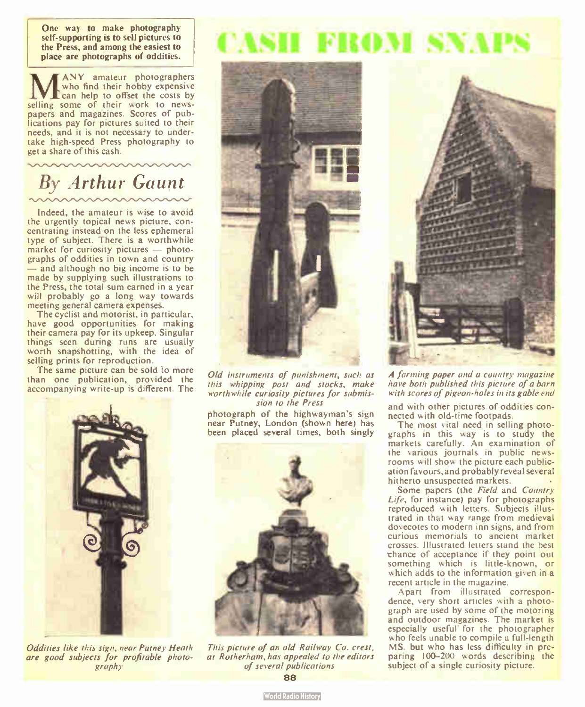One way to make photography self-supporting is to sell pictures to the Press, and among the easiest to place are photographs of oddities.

MANY amateur photographers<br>
can help to offset the costs by<br>
can help to offset the costs by who find their hobby expensive selling some of their work to newspapers and magazines. Scores of publications pay for pictures suited to their needs, and it is not necessary to undertake high-speed Press photography to get a share of this cash.

## By Arthur Gaunt

Indeed, the amateur is wise to avoid the urgently topical news picture, concentrating instead on the less ephemeral type of subject. There is a worthwhile market for curiosity pictures — photographs of oddities in town and country and although no big income is to be made by supplying such illustrations to the Press, the total sum earned in a year will probably go a long way towards meeting general camera expenses.

The cyclist and motorist, in particular, have good opportunities for making their camera pay for its upkeep. Singular things seen during runs are usually worth snapshotting, with the idea of selling prints for reproduction.

The same picture can be sold to more than one publication, provided the accompanying write-up is different. The



Old instruments of punishment, such as this whipping post and stocks, make worthwhile curiosity pictures for submission to the Press

photograph of the highwayman's sign near Putney, London (shown here) has been placed several times, both singly



This picture of an old Railway Co. crest. at Rotherham, has appealed to the editors of several publications 88



A farming paper and a country magazine have both published this picture of a barn with scores of pigeon-holes in its gable end

and with other pictures of oddities connected with old-time footpads.

The most vital need in selling photographs in this way is to study the markets carefully. An examination of the various journals in public newsrooms will show the picture each publication favours, and probably reveal several hitherto unsuspected markets.

Some papers (the Field and Country Life, for instance) pay for photographs reproduced with letters. Subjects illustrated in that way range from medieval dovecotes to modern inn signs, and from curious memorials to ancient market crosses. Illustrated letters stand the best chance of acceptance if they point out something which is little-known, or which adds to the information given in a recent article in the magazine.

Apart from illustrated correspondence, very short articles with a photograph are used by some of the motoring and outdoor magazines. The market is especially useful for the photographer who feels unable to compile a full-length MS. but who has less difficulty in preparing 100-200 words describing the subject of a single curiosity picture.



Oddities like this sign, near Putney Heath are good subjects for profitable photography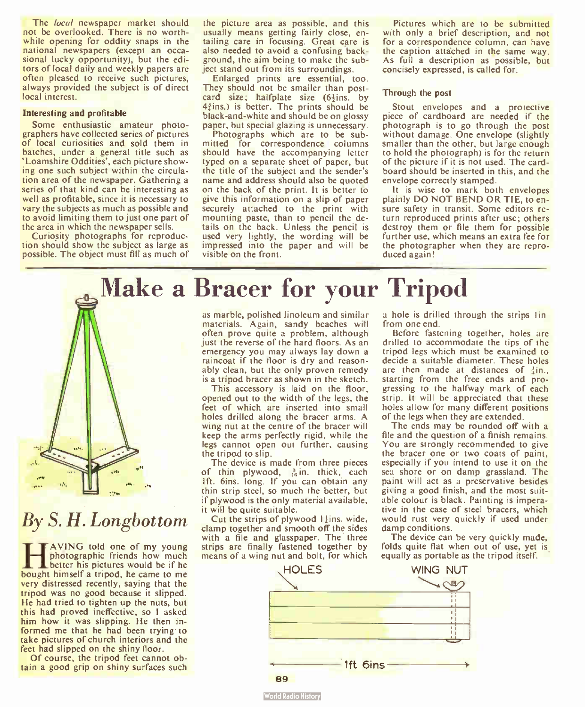The *local* newspaper market should not be overlooked. There is no worthwhile opening for oddity snaps in the national newspapers (except an occasional lucky opportunity), but the editors of local daily and weekly papers are often pleased to receive such pictures, always provided the subject is of direct local interest.

#### Interesting and profitable

Some enthusiastic amateur photographers have collected series of pictures of local curiosities and sold them in batches, under a general title such as 'Loamshire Oddities', each picture showing one such subject within the circulation area of the newspaper. Gathering a series of that kind can be interesting as well as profitable, since it is necessary to vary the subjects as much as possible and to avoid limiting them to just one part of the area in which the newspaper sells.

Curiosity photographs for reproduction should show the subject as large as possible. The object must fill as much of

the picture area as possible, and this usually means getting fairly close, entailing care in focusing. Great care is also needed to avoid a confusing background, the aim being to make the subject stand out from its surroundings.

Enlarged prints are essential, too. They should not be smaller than postcard size; halfplate size  $(6)$ ins. by  $4\frac{3}{2}$ ins.) is better. The prints should be black-and-white and should be on glossy paper, but special glazing is unnecessary.

Photographs which are to be submitted for correspondence columns should have the accompanying letter typed on a separate sheet of paper, but the title of the subject and the sender's name and address should also be quoted on the back of the print. It is better to give this information on a slip of paper securely attached to the print with mounting paste, than to pencil the details on the back. Unless the pencil is used very lightly, the wording will be impressed into the paper and will be visible on the front.

Pictures which are to be submitted with only a brief description, and not for a correspondence column, can have the caption attached in the same way. As full a description as possible, but concisely expressed, is called for.

#### Through the post

Stout envelopes and a protective piece of cardboard are needed if the photograph is to go through the post without damage. One envelope (slightly smaller than the other, but large enough to hold the photograph) is for the return of the picture if it is not used. The cardboard should be inserted in this, and the envelope correctly stamped.

It is wise to mark both envelopes plainly DO NOT BEND OR TIE, to ensure safety in transit. Some editors return reproduced prints after use; others destroy them or file them for possible further use, which means an extra fee for the photographer when they are reproduced again!

Make a Bracer for your Tripod



### By S. H. Longbottom

**HAVING told one of my young**<br>botter his pictures would be if he<br>bought himself a tripod, he came to me AVING told one of my young photographic friends how much **E** better his pictures would be if he very distressed recently, saying that the tripod was no good because it slipped. He had tried to tighten up the nuts, but this had proved ineffective, so I asked him how it was slipping. He then informed me that he had been trying to take pictures of church interiors and the feet had slipped on the shiny floor.

Of course, the tripod feet cannot obtain a good grip on shiny surfaces such

as marble, polished linoleum and similar materials. Again, sandy beaches will often prove quite a problem, although just the reverse of the hard floors. As an emergency you may always lay down a raincoat if the floor is dry and reasonably clean, but the only proven remedy is a tripod bracer as shown in the sketch.

This accessory is laid on the floor, opened out to the width of the legs, the feet of which are inserted into small holes drilled along the bracer arms. A wing nut at the centre of the bracer will keep the arms perfectly rigid, while the legs cannot open out further, causing the tripod to slip.

The device is made from three pieces of thin plywood,  $\frac{3}{16}$  in. thick, each Ift. 6ins. long. If you can obtain any thin strip steel, so much the better, but if plywood is the only material available, it will be quite suitable.

Cut the strips of plywood 11ins. wide, clamp together and smooth off the sides with a file and glasspaper. The three strips are finally fastened together by means of a wing nut and bolt, for which

a hole is drilled through the strips lin from one end.

Before fastening together, holes are drilled to accommodate the tips of the tripod legs which must be examined to decide a suitable diameter. These holes are then made at distances of  $\frac{3}{2}$ in. starting from the free ends and progressing to the halfway mark of each strip. It will be appreciated that these holes allow for many different positions of the legs when they are extended.

The ends may be rounded off with a file and the question of a finish remains. You are strongly recommended to give the bracer one or two coats of paint, especially if you intend to use it on the sea shore or on damp grassland. The paint will act as a preservative besides giving a good finish, and the most suitable colour is black. Painting is imperative in the case of steel bracers, which would rust very quickly if used under damp conditions.

The device can be very quickly made, folds quite flat when out of use, yet is equally as portable as the tripod itself.

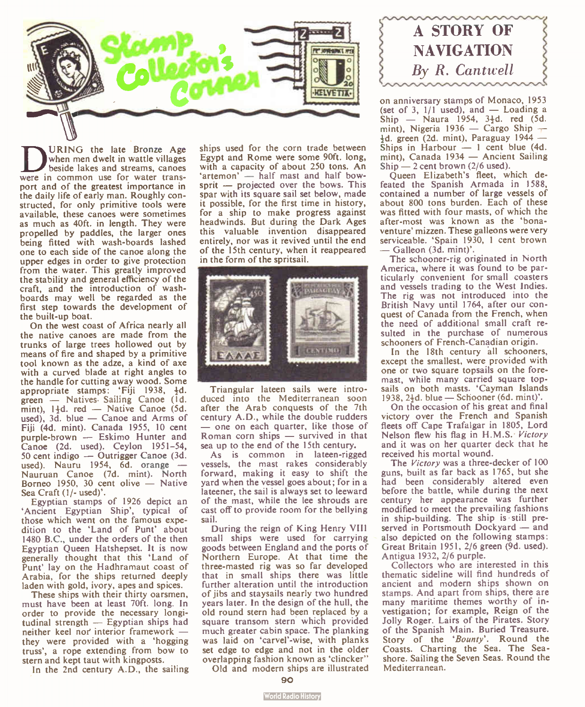

**DURING** the late Bronze Age<br>beside lakes and streams, cances<br>were in common use for water trans-URING the late Bronze Age when men dwelt in wattle villages beside lakes and streams, canoes port and of the greatest importance in the daily life of early man. Roughly constructed, for only primitive tools were available, these canoes were sometimes as much as 40ft. in length. They were propelled by paddles, the larger ones being fitted with wash-boards lashed one to each side of the canoe along the upper edges in order to give protection from the water. This greatly improved the stability and general efficiency of the craft, and the introduction of washboards may well be regarded as the first step towards the development of the built-up boat.

On the west coast of Africa nearly all the native canoes are made from the trunks of large trees hollowed out by means of fire and shaped by a primitive tool known as the adze, a kind of axe with a curved blade at right angles to the handle for cutting away wood. Some appropriate stamps: 'Fiji 1938, 4d. green — Natives. Sailing Canoe (1d. mint),  $1\frac{1}{2}d$ . red - Native Canoe (5d. used), 3d. blue — Canoe and Arms of Fiji (4d. mint). Canada 1955, 10 cent purple-brown — Eskimo Hunter and Canoe (2d. used). Ceylon 1951-54, 50 cent indigo — Outrigger Canoe (3d. used). Nauru 1954, 6d. orange -Nauruan Canoe (7d. mint). North Borneo 1950, 30 cent olive — Native Sea Craft (1/- used)'.

Egyptian stamps of 1926 depict an 'Ancient Egyptian Ship', typical of those which went on the famous expedition to the 'Land of Punt' about 1480 B.C., under the orders of the then Egyptian Queen Hatshepset. It is now generally thought that this 'Land of Punt' lay on the Hadhramaut coast of Arabia, for the ships returned deeply laden with gold, ivory, apes and spices.

These ships with their thirty oarsmen, must have been at least 70ft. long. In order to provide the necessary longitudinal strength — Egyptian ships had neither keel nor' interior framework they were provided with a 'hogging truss', a rope extending from bow to stern and kept taut with kingposts.

In the 2nd century A.D., the sailing

ships used for the corn trade between Egypt and Rome were some 90ft. long, with a capacity of about 250 tons. An 'artemon' — half mast and half bowsprit — projected over the bows. This spar with its square sail set below, made it possible, for the first time in history, for a ship to make progress against headwinds. But during the Dark Ages this valuable invention disappeared entirely, nor was it revived until the end of the 15th century, when it reappeared in the form of the spritsail.



Triangular lateen sails were introduced into the Mediterranean soon after the Arab conquests of the 7th century A.D., while the double rudders — one on each quarter, like those of Roman corn ships — survived in that sea up to the end of the 15th century.

As is common in lateen-rigged vessels, the mast rakes considerably forward, making it easy to shift the yard when the vessel goes about; for in a lateener, the sail is always set to leeward of the mast, while the lee shrouds are cast off to provide room for the bellying sail.

During the reign of King Henry VIII small ships were used for carrying goods between England and the ports of Northern Europe. At that time the three- masted rig was so far developed that in small ships there was little further alteration until the introduction of jibs and staysails nearly two hundred years later. In the design of the hull, the old round stern had been replaced by a square transom stern which provided much greater cabin space. The planking was laid on 'carvel'-wise, with planks set edge to edge and not in the older overlapping fashion known as 'clincker"

Old and modern ships are illustrated



on anniversary stamps of Monaco, 1953 (set of 3,  $1/1$  used), and  $-$  Loading a  $\sin \theta$  — Naura 1954, 3<sup>1</sup>d. red (5d.) mint), Nigeria 1936 — Cargo Ship —  $\frac{1}{2}d$ . green (2d. mint), Paraguay 1944 — Ships in Harbour  $-1$  cent blue (4d. mint), Canada 1934 — Ancient Sailing  $Ship$  — 2 cent brown (2/6 used).

Queen Elizabeth's fleet, which defeated the Spanish Armada in 1588, contained a number of large vessels of about 800 tons burden. Each of these was fitted with four masts, of which the after-most was known as the 'bonaventure' mizzen. These galleons were very serviceable. 'Spain 1930, 1 cent brown — Galleon ( 3d. mint)'.

The schooner-rig originated in North America, where it was found to be particularly convenient for small coasters and vessels trading to the West Indies. The rig was not introduced into the British Navy until 1764, after our conquest of Canada from the French, when the need of additional small craft resulted in the purchase of numerous schooners of French-Canadian origin.

In the 18th century all schooners, except the smallest, were provided with one or two square topsails on the foremast, while many carried square topsails on both masts. 'Cayman Islands 1938, 24d. blue — Schooner (6d. mint)'.

On the occasion of his great and final victory over the French and Spanish fleets off Cape Trafalgar in 1805, Lord Nelson flew his flag in H.M.S. Victory and it was on her quarter deck that he received his mortal wound.

The Victory was a three-decker of 100 guns, built as far back as 1765, but she had been considerably altered even before the battle, while during the next century her appearance was further modified to meet the prevailing fashions in ship-building. The ship is still preserved in Portsmouth Dockyard — and also depicted on the following stamps: Great Britain 1951, 2/6 green (9d. used). Antigua 1932, 2/6 purple.

Collectors who are interested in this thematic sideline will find hundreds of ancient and modern ships shown on stamps. And apart from ships, there are many maritime themes worthy of investigation; for example, Reign of the Jolly Roger. Lairs of the Pirates. Story of the Spanish Main. Buried Treasure. Story of the 'Bounty'. Round the Coasts. Charting the Sea. The Seashore. Sailing the Seven Seas. Round the Mediterranean.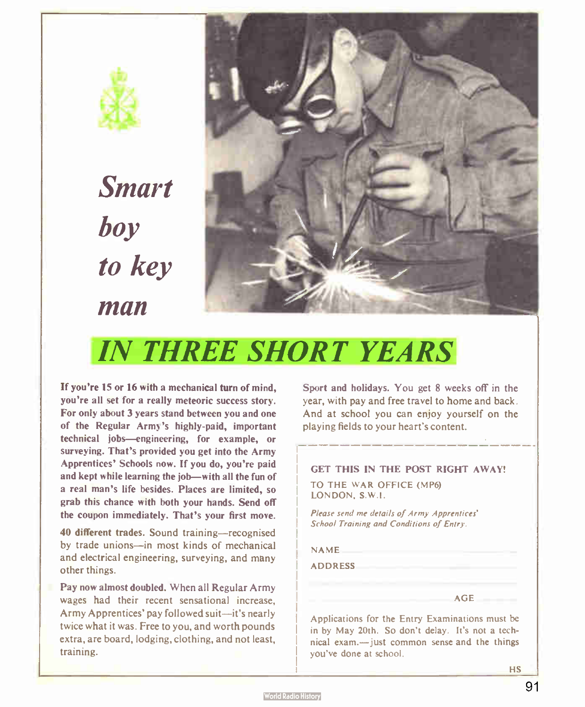

Smart boy to key man



## IN THREE SHORT YEARS

If you're 15 or 16 with a mechanical turn of mind, you're all set for a really meteoric success story. For only about 3 years stand between you and one of the Regular Army's highly-paid, important technical jobs—engineering, for example, or surveying. That's provided you get into the Army Apprentices' Schools now. If you do, you're paid and kept while learning the job—with all the fun of a real man's life besides. Places are limited, so grab this chance with both your hands. Send off the coupon immediately. That's your first move.

40 different trades. Sound training—recognised by trade unions—in most kinds of mechanical and electrical engineering, surveying, and many other things.

Pay now almost doubled. When all Regular Army wages had their recent sensational increase, Army Apprentices' pay followed suit—it's nearly twice what it was. Free to you, and worth pounds extra, are board, lodging, clothing, and not least, training.

Sport and holidays. You get 8 weeks off in the year, with pay and free travel to home and back. And at school you can enjoy yourself on the playing fields to your heart's content.

#### GET THIS IN THE POST RIGHT AWAY!

TO THE WAR OFFICE (MP6) LONDON, S.W.!.

Please send me details of Army Apprentices' School Training and Conditions of Entry.

NAME

ADDRESS

Applications for the Entry Examinations must be in by May 20th. So don't delay. It's not a technical exam.— just common sense and the things you've done at school.

AGE

**HS**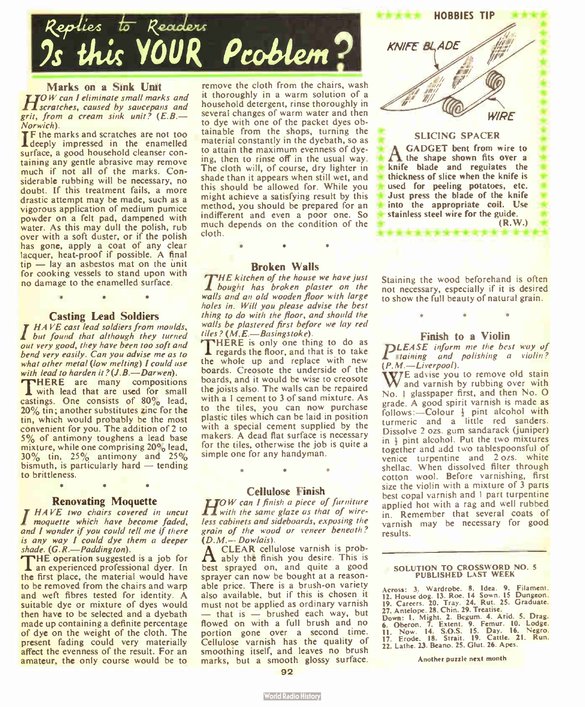

Marks on a Sink Unit TOW can I eliminate small marks and H scratches, caused by saucepans and

 $grit, from a cream sink unit? (E.B. -\nNormich).$ 

Norwich).<br>The marks and scratches are not too<br>I deeply impressed in the enamelled surface, a good household cleanser containing any gentle abrasive may remove much if not all of the marks. Considerable rubbing will be necessary, no doubt. If this treatment fails, a more drastic attempt may be made, such as a vigorous application of medium pumice powder on a felt pad, dampened with water. As this may dull the polish, rub over with a soft duster, or if the polish has gone, apply a coat of any clear lacquer, heat-proof if possible. A final  $t_{1D}$  - lay an asbestos mat on the unit for cooking vessels to stand upon with no damage to the enamelled surface.

#### Casting Lead Soldiers

•

T HAVE cast lead soldiers from moulds, but found that although they turned out very good, they have been too soft and bend very easily. Can you advise me as to what other metal (low melting) I could use<br>with lead to harden it?  $(J.B.—Darwen)$ . **THERE** are many compositions

with lead that are used for small castings. One consists of 80% lead, 20% tin; another substitutes zinc for the tin, which would probably be the most convenient for you. The addition of 2 to 5% of antimony toughens a lead base mixture, while one comprising 20% lead,  $30\%$  tin,  $25\%$  antimony and  $25\%$ bismuth, is particularly hard  $-$  tending to brittleness. • • •

**Renovating Moquette**<br>IF HAVE two chairs covered in uncut **A** moquette which have become faded, and I wonder if you could tell me if there is any way I could dye them a deeper shade.  $(G, R, \text{---}~ Paddington)$ .<br>THE operation suggested is a job for

an experienced professional dyer. In the first place, the material would have to be removed from the chairs and warp and weft fibres tested for identity. A suitable dye or mixture of dyes would then have to be selected and a dyebath made up containing a definite percentage of dye on the weight of the cloth. The present fading could very materially affect the evenness of the result. For an amateur, the only course would be to

remove the cloth from the chairs, wash it thoroughly in a warm solution of a household detergent, rinse thoroughly in several changes of warm water and then to dye with one of the packet dyes obtainable from the shops, turning the material constantly in the dyebath, so as to attain the maximum evenness of dyeing, then to rinse off in the usual way. The cloth will, of course, dry lighter in shade than it appears when still wet, and this should be allowed for. While you might achieve a satisfying result by this method, you should be prepared for an indifferent and even a poor one. So much depends on the condition of the cloth.

#### Broken Walls

•

THE kitchen of the house we have just **L** bought has broken plaster on the walls and an old wooden floor with large holes in. Will you please advise the best thing to do with the floor, and should the walls be plastered first before we lay red tiles? (M.E.-Basingstoke).

THERE is only one thing to do as<br>Tregards the floor, and that is to take the whole up and replace with new boards. Creosote the underside of the boards, and it would be wise to creosote the joists also. The walls can be repaired with a 1 cement to 3 of sand mixture. As to the tiles, you can now purchase plastic tiles which can be laid in position with a special cement supplied by the makers. A dead flat surface is necessary for the tiles, otherwise the job is quite a simple one for any handyman.

#### Cellulose Finish

• •

**TOW** can I finish a piece of furniture I with the same glaze as that of wireless cabinets and sideboards, exposing the grain of the wood or veneer beneath?

 $\Delta$  CLEAR cellulose varnish is prob-A ably the finish you desire. This is best sprayed on. and quite a good sprayer can now be bought at a reasonable price. There is a brush-on variety also available, but if this is chosen it must not be applied as ordinary varnish  $-$  that is  $-$  brushed each way, but flowed on with a full brush and no portion gone over a second time. Cellulose varnish has the quality of smoothing itself, and leaves no brush marks, but a smooth glossy surface.



HOBBIES TIP

Staining the wood beforehand is often not necessary, especially if it is desired to show the full beauty of natural grain.

#### Finish to a Violin

**PLEASE** inform me the best way of staining and polishing a violin?  $(P, M, -Liverpool).$ 

W<sub>and</sub> varish by rubbing over with No. I glasspaper first, and then No. 0 grade. A good spirit varnish is made as follows:- Colour  $\frac{1}{2}$  pint alcohol with turmeric and a little red sanders. Dissolve 2 ozs. gum sandarack (juniper) in  $\frac{1}{2}$  pint alcohol. Put the two mixtures together and add two tablespoonsful of venice turpentine and 2 ozs. white<br>shellac. When dissolved filter through cotton wool. Before varnishing, first size the violin with a mixture of 3 parts best copal varnish and I part turpentine applied hot with a rag and well rubbed in. Remember that several coats of varnish may be necessary for good results.

#### SOLUTION TO CROSSWORD NO. 5 PUBLISHED LAST WEEK

Across: 3. Wardrobe. 8. Idea. 9. Filament.<br>12. House dog. 13. Roe. 14 Sown. 15 Dungeon.<br>19. Careers. 20. Tray. 24. Rut. 25. Graduate.<br>27. Antelope. 28. Chin. 29. Treatise.

Down: I. Might. 2. Begum. 4. Arid. 5. Drag. 6. Oberon. 7. Extent. 9. Femur. 10. Lodge. II. Now. 14. S.O.S. 15. Day. 16. Negro. 17. Erode. 18. Strait. 19. Cattle. 21. Run. 22. Lathe. 23. Beano. 25. Glut. 26. Apes.

Another puzzle next month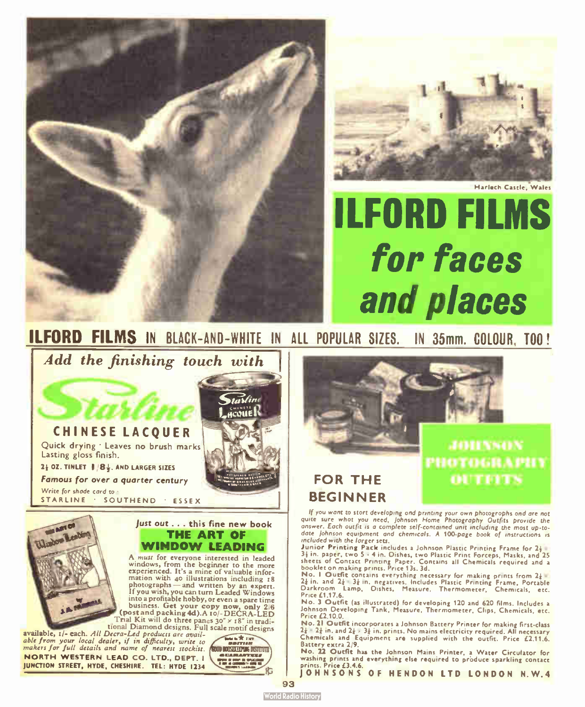



Harlech Castle, Wales

# ILFORD FILMS for faces and places

**ILFORD FILMS** IN BLACK-AND-WHITE IN ALL PUPULAR SIZES. IN 35MM. GOLOUR, TOO!

Add the finishing touch with



 $2\frac{1}{2}$  OZ. TINLET  $\frac{1}{2}$  /8 $\frac{1}{2}$ . AND LARGER SIZES

Famous for over a quarter century Write for shade card to :

STARLINE · SOUTHEND · ESSEX



#### just out . . . this fine new book THE ART OF WINDOW LEADING

A must for everyone interested in leaded windows, from the beginner to the more experienced. It's a mine of valuable infor-<br>mation with 40 illustrations including 18<br>photographs — and written by an expert.<br>If you wish, you can turn Leaded Windows into a profitable hobby, or even a spare time post and packing 4d).A to-<br>(post and packing 4d).A to/- DECRA-LED<br>Trial Kit will do three panes 30<sup>-</sup> x 18<sup>-</sup> in traditional Diamond designs. Full scale motif designs

available, 1/- each. All Decra-Led products are available from your local dealer, if in difficulty, write to<br>makers for full details and name of nearest stockist. NORTH WESTERN LEAD CO. LTD.. DEPT. I JUNCTION STREET, HYDE, CHESHIRE. TEL: HYDE 1234





if you want to stort developing ond printing your own photogrophs ond are not.<br>quite sure, whot you, need, Johnson, Home Photography, Outfits, provide, the<br>answer. Each outfit is a complete self-contained unit including th date Johnson equipment and chemicals. A 100-page book of instructions is included with the larger sets.

Junior Printing Pack includes a Johnson Plastic Printing Frame for 2<sup>1</sup> 3‡ in. paper, two 5 - 4 in. Dishes, two Plastic Print Forceps, Masks, and 25<br>sheets of Contact Printing Paper. Contains all Chemicals required and a<br>booklet on making prints. Price 13s. 3d.

No. 1 Outfit contains everything necessary for making prints from 24 21 in. and 2¡ • 3¡ in. negatives. Includes Plastic Printing Frame. Portable Darkroom Lamp, Dishes, Measure, Thermometer, Chemicals, etc. Price £1.17.6.

No. 3 Outfit (as illustrated) for developing 120 and 620 films. Includes a Johnson Developing Tank, Measure, Thermometer, Clips, Chemicals, etc. Price £2.10.0.

No. 21 Outfit incorporates a Johnson Battery Printer for making first-class 4† = 4‡ in. and 2‡ × 3‡ in. prints. No mains electricity required. All necessary<br>Chemicals and Equipment are supplied with the outfit. Price £2.11.6.<br>Battery extra 2/9.

No. 22 Outfit has the Johnson Mains Printer, a Water Circulator for washing prints and everything else required to produce sparkling contact .<br>prints. Price £3.4.6.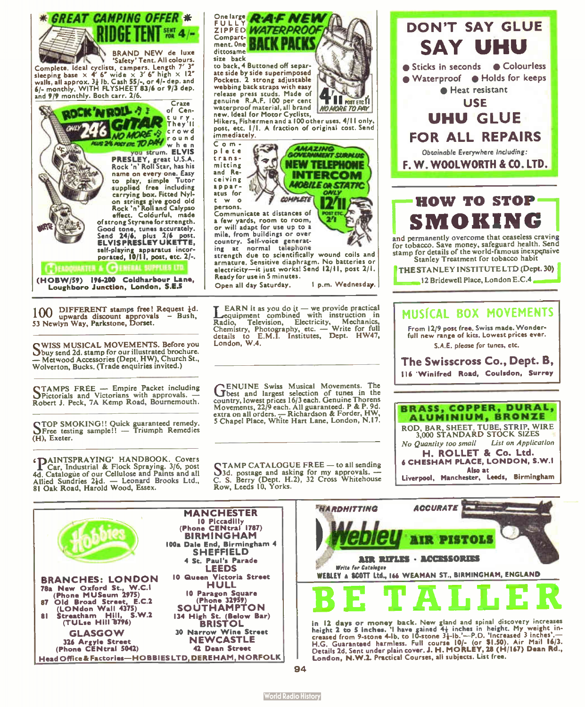

100 DIFFERENT stamps free! Request {d.<br>53 Newlyn Way, Parkstone, Dorset.<br>53 Newlyn Way, Parkstone, Dorset.

SWISS MUSICAL MOVEMENTS. Before you<br>Sbuy send 2d. stamp for our illustrated brochure. — Metwood Accessories ( Dept. HW), Church St., Wolverton, Bucks. ( Trade enquiries invited.)

QTAMPS FREE — Empire Packet including OPictorials and Victorians with approvals. — Robert J. Peck, 7A Kemp Road, Bournemouth.

C TOP SMOKING!! Quick guaranteed remedy. °Free testing sample!! — Triumph Remedies (H), Exeter.

**PAINTSPRAYING' HANDBOOK.** Covers<br>4d. Catalogue of our Cellulose and Paints and all<br>4d. Catalogue of our Cellulose and Paints and all<br>4lied Sundries 2id. — Leonard Brooks Ltd., C. S. Berry (Dept. H.2), 32 Cross Whitehouse 81 Oak Road, Harold Wood, Essex.

ZIPPED WATERPROO to back, 4 Buttoned off separ

ate side by side superimposed<br>Pockets. 2 strong adjustable webbing back straps with easy release press studs. Made of genuine R.A.F. 100 per cent waterproof material, all brand new. Ideal for Motor Cyclists,

**POST FTC MO MODE TO PAY** 

AMAZING.<br>GOVENMENT SURPLUS NEW TELEPHONE INTERCOM **MOBILE OR STAT** 

ONLY

Hikers, Fishermen and a 100 other uses. 4(11 only. post, etc. 1/I. A fraction of original cost. Send

Communicate at distances of a few yards, room to room, or will adapt for use up to a mile, from buildings or over country. Self- voice generat-ing at normal telephone

strength due to scientifically wound coils and armature. Sensitive diaphragm. No batteries or electricity-it just works! Send 12/11, post 2/1. Ready for use in 5 minutes.

**COMPLETE** 

 $\mathbf{L}$  EARN it as you do it — we provide practical equipment combined with instruction in Radio, Television, Electricity, Mechanics,<br>Chemistry, Photography, etc. — Write for full<br>details to E.M.I. Institutes, Dept. HW47, details to E<br>London, W.4.

**CENUINE** Swiss Musical Movements. The best and largest selection of tunes in the country, lowest prices 16/3 each. Genuine Thorens Movements, 22/9 each. All guaranteed. P & P. 9d. extra on all orders. — Richardson & Forde





and permanently overcome that ceaseless craving for tobacco. Save money, safeguard health. Send stamp for details of the world-famous inexpensive Stanley Treatment for tobacco habit

| THE STANLEY INSTITUTE LTD (Dept. 30) |
|--------------------------------------|
| 12 Bridewell Place, London E.C.4     |

#### MUSICAL BOX MOVEMENTS

From 12/9 post free. Swiss made. Wonderfull new range of kits. Lowest prices ever. S.A.E. please for tunes, etc.

The Swisscross Co., Dept. B, 116 Winifred Road, Coulsdon, Surrey



| <b>BRANCHES: LONDON</b><br>78a New Oxford St., W.C.I<br>(Phone MUSeum 2975)<br>87 Old Broad Street, E.C.2<br>(LONdon Wall 4375)<br>81 Streatham Hill, S.W.2<br>(TULse Hill 8796) | <b>MANCHESTER</b><br>10 Piccadilly<br>(Phone CENtral 1787)<br><b>BIRMINGHAM</b><br>100a Dale End, Birmingham 4<br><b>SHEFFIELD</b><br>4 St. Paul's Parade<br><b>LEEDS</b><br>10 Queen Victoria Street<br>HULL<br>10 Paragon Square<br>(Phone 32959)<br><b>SOUTHAMPTON</b><br>134 High St. (Below Bar)<br><b>BRISTOL</b> |
|----------------------------------------------------------------------------------------------------------------------------------------------------------------------------------|-------------------------------------------------------------------------------------------------------------------------------------------------------------------------------------------------------------------------------------------------------------------------------------------------------------------------|
|                                                                                                                                                                                  |                                                                                                                                                                                                                                                                                                                         |
| <b>GLASGOW</b><br>326 Argyle Street<br>(Phone CENtral 5042)                                                                                                                      | 30 Narrow Wine Street<br><b>NEWCASTLE</b><br>42 Dean Street                                                                                                                                                                                                                                                             |
| Head Office & Factories—HOBBIES LTD, DEREHAM, NORFOLK                                                                                                                            |                                                                                                                                                                                                                                                                                                                         |



in 12 days or money back. New gland and spinal discovery interesses<br>height 2 to 5 inches. 'I have gained 4+ inches in height. My weight in-<br>creased from 9-stone 4-lb. to 10-stone 3+1b.'---P.D. 'Increased 3 inches'.—<br>H.G. G London, N.W.2. Practical Courses, all subjects. List free.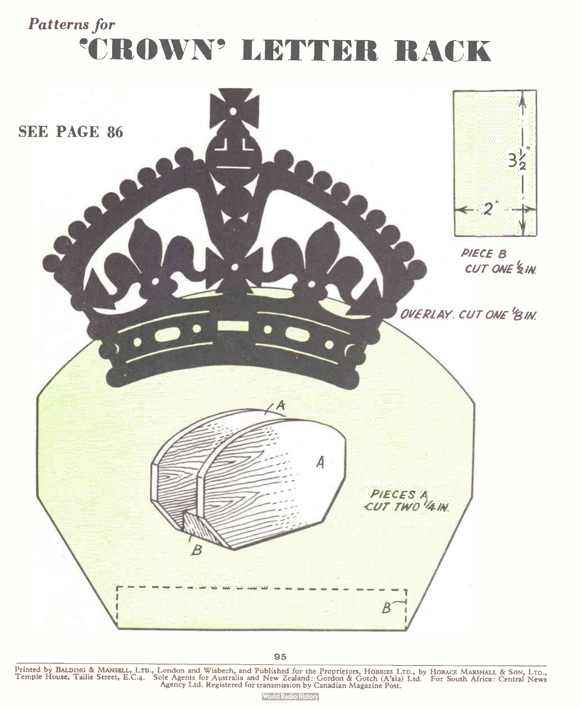### Patterns for 'CROWN' LETTER RACK



95 Printed by BALDING & MANSELL, LTD., London and Wisbech, and Published for the Proprietors, Hobbits LTD., by Horace Marshall & Son, LTD.,<br>Temple House, Tallis Street, E.C.4. Sole Agents for Australia and New Zealand: Gord